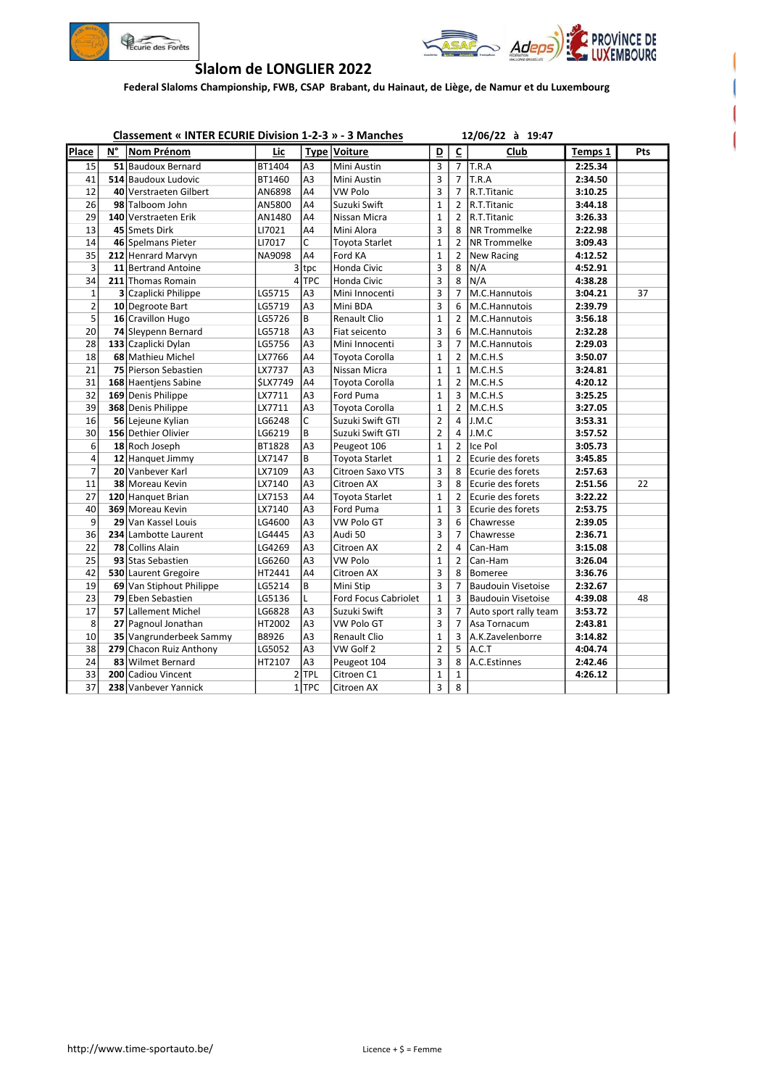



## Slalom de LONGLIER 2022

Federal Slaloms Championship, FWB, CSAP Brabant, du Hainaut, de Liège, de Namur et du Luxembourg

|                | <b>Classement « INTER ECURIE Division 1-2-3 » - 3 Manches</b> |                          |                 |                |                       |                | 12/06/22 à 19:47        |                           |         |     |
|----------------|---------------------------------------------------------------|--------------------------|-----------------|----------------|-----------------------|----------------|-------------------------|---------------------------|---------|-----|
| Place          | N°                                                            | Nom Prénom               | Lic             |                | Type Voiture          | D              | $\overline{\mathsf{c}}$ | Club                      | Temps 1 | Pts |
| 15             |                                                               | 51 Baudoux Bernard       | BT1404          | A <sub>3</sub> | Mini Austin           | 3              |                         | $7$ T.R.A                 | 2:25.34 |     |
| 41             |                                                               | 514 Baudoux Ludovic      | BT1460          | A <sub>3</sub> | Mini Austin           | 3              | $\overline{7}$          | T.R.A                     | 2:34.50 |     |
| 12             |                                                               | 40 Verstraeten Gilbert   | AN6898          | A4             | <b>VW Polo</b>        | 3              | $\overline{7}$          | R.T.Titanic               | 3:10.25 |     |
| 26             |                                                               | 98 Talboom John          | AN5800          | A4             | Suzuki Swift          | $\mathbf 1$    | $\overline{2}$          | R.T.Titanic               | 3:44.18 |     |
| 29             |                                                               | 140 Verstraeten Erik     | AN1480          | A4             | Nissan Micra          | $\mathbf{1}$   | $\overline{2}$          | R.T.Titanic               | 3:26.33 |     |
| 13             |                                                               | 45 Smets Dirk            | LI7021          | A4             | Mini Alora            | 3              | 8                       | <b>NR Trommelke</b>       | 2:22.98 |     |
| 14             |                                                               | 46 Spelmans Pieter       | LI7017          | C              | <b>Toyota Starlet</b> | $\mathbf{1}$   | $\overline{2}$          | <b>NR Trommelke</b>       | 3:09.43 |     |
| 35             |                                                               | 212 Henrard Marvyn       | NA9098          | A4             | Ford KA               | $\mathbf 1$    | $\overline{2}$          | New Racing                | 4:12.52 |     |
| 3              |                                                               | 11 Bertrand Antoine      | 3               | tpc            | Honda Civic           | 3              | 8                       | N/A                       | 4:52.91 |     |
| 34             |                                                               | 211 Thomas Romain        |                 | $4$ TPC        | Honda Civic           | 3              | 8                       | N/A                       | 4:38.28 |     |
| $\mathbf 1$    |                                                               | 3 Czaplicki Philippe     | LG5715          | A <sub>3</sub> | Mini Innocenti        | 3              | 7                       | M.C.Hannutois             | 3:04.21 | 37  |
| $\overline{2}$ |                                                               | 10 Degroote Bart         | LG5719          | A3             | Mini BDA              | 3              | 6                       | M.C.Hannutois             | 2:39.79 |     |
| 5              |                                                               | 16 Cravillon Hugo        | LG5726          | B              | Renault Clio          | $\mathbf 1$    | $\overline{2}$          | M.C.Hannutois             | 3:56.18 |     |
| 20             |                                                               | 74 Sleypenn Bernard      | LG5718          | A <sub>3</sub> | Fiat seicento         | 3              | 6                       | M.C.Hannutois             | 2:32.28 |     |
| 28             |                                                               | 133 Czaplicki Dylan      | LG5756          | A3             | Mini Innocenti        | 3              | 7                       | M.C.Hannutois             | 2:29.03 |     |
| 18             |                                                               | 68 Mathieu Michel        | LX7766          | A4             | Toyota Corolla        | $\mathbf 1$    | $\overline{2}$          | M.C.H.S                   | 3:50.07 |     |
| 21             |                                                               | 75 Pierson Sebastien     | LX7737          | A <sub>3</sub> | Nissan Micra          | $\mathbf 1$    | $\mathbf{1}$            | M.C.H.S                   | 3:24.81 |     |
| 31             |                                                               | 168 Haentjens Sabine     | <b>\$LX7749</b> | A4             | Toyota Corolla        | $\mathbf 1$    | $\overline{2}$          | M.C.H.S                   | 4:20.12 |     |
| 32             |                                                               | 169 Denis Philippe       | LX7711          | A <sub>3</sub> | Ford Puma             | $\mathbf{1}$   | 3                       | M.C.H.S                   | 3:25.25 |     |
| 39             |                                                               | 368 Denis Philippe       | LX7711          | A <sub>3</sub> | Toyota Corolla        | $\mathbf{1}$   | $\overline{2}$          | M.C.H.S                   | 3:27.05 |     |
| 16             |                                                               | 56 Lejeune Kylian        | LG6248          | C              | Suzuki Swift GTI      | $\overline{2}$ | 4                       | J.M.C                     | 3:53.31 |     |
| 30             |                                                               | 156 Dethier Olivier      | LG6219          | B              | Suzuki Swift GTI      | $\overline{2}$ | 4                       | J.M.C                     | 3:57.52 |     |
| 6              |                                                               | 18 Roch Joseph           | BT1828          | A <sub>3</sub> | Peugeot 106           | $\mathbf 1$    | $\overline{2}$          | Ice Pol                   | 3:05.73 |     |
| 4              |                                                               | 12 Hanguet Jimmy         | LX7147          | B              | <b>Toyota Starlet</b> | $\mathbf 1$    | $\overline{2}$          | Ecurie des forets         | 3:45.85 |     |
| $\overline{7}$ |                                                               | 20 Vanbever Karl         | LX7109          | A3             | Citroen Saxo VTS      | 3              | 8                       | Ecurie des forets         | 2:57.63 |     |
| 11             |                                                               | 38 Moreau Kevin          | LX7140          | A3             | Citroen AX            | 3              | 8                       | Ecurie des forets         | 2:51.56 | 22  |
| 27             |                                                               | 120 Hanguet Brian        | LX7153          | A4             | <b>Toyota Starlet</b> | $\mathbf{1}$   | $\overline{2}$          | Ecurie des forets         | 3:22.22 |     |
| 40             |                                                               | 369 Moreau Kevin         | LX7140          | A <sub>3</sub> | Ford Puma             | $\mathbf{1}$   | 3                       | Ecurie des forets         | 2:53.75 |     |
| 9              |                                                               | 29 Van Kassel Louis      | LG4600          | A3             | VW Polo GT            | 3              | 6                       | Chawresse                 | 2:39.05 |     |
| 36             |                                                               | 234 Lambotte Laurent     | LG4445          | A <sub>3</sub> | Audi 50               | 3              | 7                       | Chawresse                 | 2:36.71 |     |
| 22             |                                                               | <b>78 Collins Alain</b>  | LG4269          | A <sub>3</sub> | Citroen AX            | $\overline{2}$ | 4                       | Can-Ham                   | 3:15.08 |     |
| 25             |                                                               | 93 Stas Sebastien        | LG6260          | A <sub>3</sub> | <b>VW Polo</b>        | $\mathbf{1}$   | $\overline{2}$          | Can-Ham                   | 3:26.04 |     |
| 42             |                                                               | 530 Laurent Gregoire     | HT2441          | A <sub>4</sub> | Citroen AX            | 3              | 8                       | <b>Bomeree</b>            | 3:36.76 |     |
| 19             |                                                               | 69 Van Stiphout Philippe | LG5214          | B              | Mini Stip             | 3              | $\overline{7}$          | <b>Baudouin Visetoise</b> | 2:32.67 |     |
| 23             |                                                               | 79 Eben Sebastien        | LG5136          | L              | Ford Focus Cabriolet  | $\mathbf 1$    | 3                       | <b>Baudouin Visetoise</b> | 4:39.08 | 48  |
| 17             |                                                               | 57 Lallement Michel      | LG6828          | A3             | Suzuki Swift          | 3              | 7                       | Auto sport rally team     | 3:53.72 |     |
| 8              |                                                               | 27 Pagnoul Jonathan      | HT2002          | A <sub>3</sub> | <b>VW Polo GT</b>     | 3              | $\overline{7}$          | Asa Tornacum              | 2:43.81 |     |
| 10             |                                                               | 35 Vangrunderbeek Sammy  | B8926           | A3             | Renault Clio          | $\mathbf{1}$   | 3                       | A.K.Zavelenborre          | 3:14.82 |     |
| 38             |                                                               | 279 Chacon Ruiz Anthony  | LG5052          | A3             | VW Golf 2             | $\overline{2}$ | 5                       | A.C.T                     | 4:04.74 |     |
| 24             |                                                               | 83 Wilmet Bernard        | HT2107          | A <sub>3</sub> | Peugeot 104           | 3              | 8                       | A.C.Estinnes              | 2:42.46 |     |
| 33             |                                                               | 200 Cadiou Vincent       |                 | $2$ TPL        | Citroen C1            | $\mathbf{1}$   | 1                       |                           | 4:26.12 |     |
| 37             |                                                               | 238 Vanbever Yannick     |                 | $1$ TPC        | Citroen AX            | 3              | 8                       |                           |         |     |